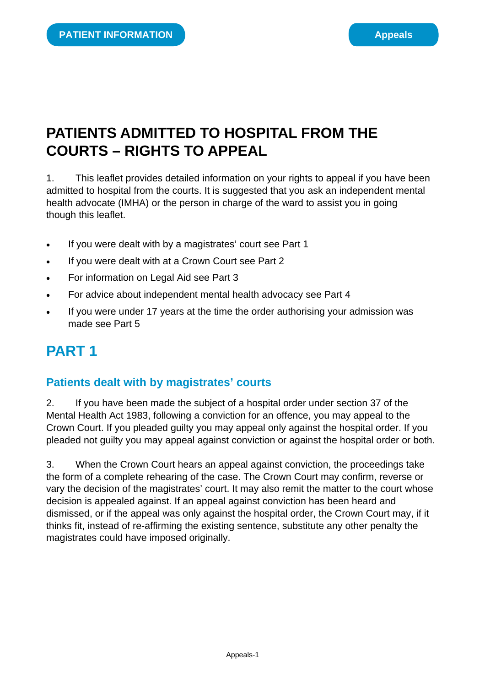# **PATIENTS ADMITTED TO HOSPITAL FROM THE COURTS – RIGHTS TO APPEAL**

1. This leaflet provides detailed information on your rights to appeal if you have been admitted to hospital from the courts. It is suggested that you ask an independent mental health advocate (IMHA) or the person in charge of the ward to assist you in going though this leaflet.

- If you were dealt with by a magistrates' court see Part 1
- If you were dealt with at a Crown Court see Part 2
- For information on Legal Aid see Part 3
- For advice about independent mental health advocacy see Part 4
- If you were under 17 years at the time the order authorising your admission was made see Part 5

# **PART 1**

### **Patients dealt with by magistrates' courts**

2. If you have been made the subject of a hospital order under section 37 of the Mental Health Act 1983, following a conviction for an offence, you may appeal to the Crown Court. If you pleaded guilty you may appeal only against the hospital order. If you pleaded not guilty you may appeal against conviction or against the hospital order or both.

3. When the Crown Court hears an appeal against conviction, the proceedings take the form of a complete rehearing of the case. The Crown Court may confirm, reverse or vary the decision of the magistrates' court. It may also remit the matter to the court whose decision is appealed against. If an appeal against conviction has been heard and dismissed, or if the appeal was only against the hospital order, the Crown Court may, if it thinks fit, instead of re-affirming the existing sentence, substitute any other penalty the magistrates could have imposed originally.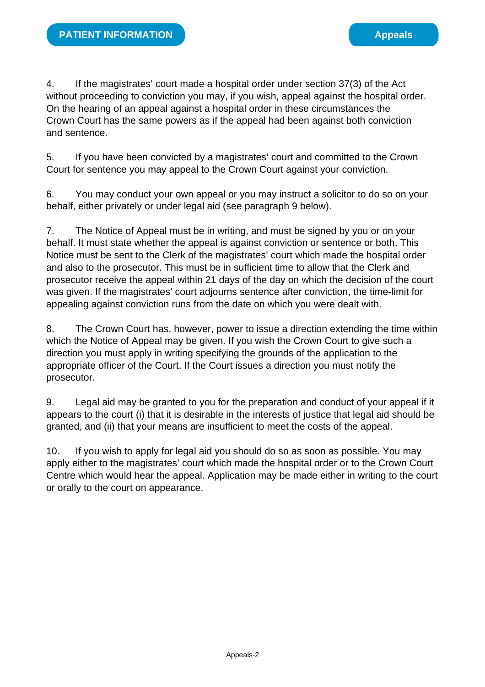4. If the magistrates' court made a hospital order under section 37(3) of the Act without proceeding to conviction you may, if you wish, appeal against the hospital order. On the hearing of an appeal against a hospital order in these circumstances the Crown Court has the same powers as if the appeal had been against both conviction and sentence.

5. If you have been convicted by a magistrates' court and committed to the Crown Court for sentence you may appeal to the Crown Court against your conviction.

6. You may conduct your own appeal or you may instruct a solicitor to do so on your behalf, either privately or under legal aid (see paragraph 9 below).

7. The Notice of Appeal must be in writing, and must be signed by you or on your behalf. It must state whether the appeal is against conviction or sentence or both. This Notice must be sent to the Clerk of the magistrates' court which made the hospital order and also to the prosecutor. This must be in sufficient time to allow that the Clerk and prosecutor receive the appeal within 21 days of the day on which the decision of the court was given. If the magistrates' court adjourns sentence after conviction, the time-limit for appealing against conviction runs from the date on which you were dealt with.

8. The Crown Court has, however, power to issue a direction extending the time within which the Notice of Appeal may be given. If you wish the Crown Court to give such a direction you must apply in writing specifying the grounds of the application to the appropriate officer of the Court. If the Court issues a direction you must notify the prosecutor.

9. Legal aid may be granted to you for the preparation and conduct of your appeal if it appears to the court (i) that it is desirable in the interests of justice that legal aid should be granted, and (ii) that your means are insufficient to meet the costs of the appeal.

10. If you wish to apply for legal aid you should do so as soon as possible. You may apply either to the magistrates' court which made the hospital order or to the Crown Court Centre which would hear the appeal. Application may be made either in writing to the court or orally to the court on appearance.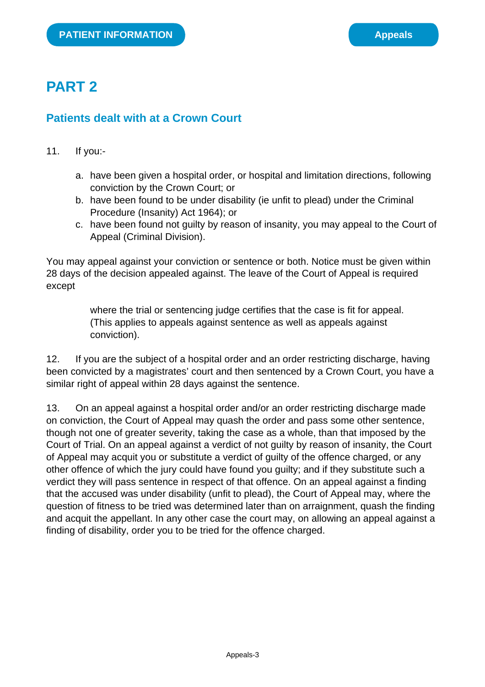# **PART 2**

#### **Patients dealt with at a Crown Court**

- 11. If you:
	- a. have been given a hospital order, or hospital and limitation directions, following conviction by the Crown Court; or
	- b. have been found to be under disability (ie unfit to plead) under the Criminal Procedure (Insanity) Act 1964); or
	- c. have been found not guilty by reason of insanity, you may appeal to the Court of Appeal (Criminal Division).

You may appeal against your conviction or sentence or both. Notice must be given within 28 days of the decision appealed against. The leave of the Court of Appeal is required except

> where the trial or sentencing judge certifies that the case is fit for appeal. (This applies to appeals against sentence as well as appeals against conviction).

12. If you are the subject of a hospital order and an order restricting discharge, having been convicted by a magistrates' court and then sentenced by a Crown Court, you have a similar right of appeal within 28 days against the sentence.

13. On an appeal against a hospital order and/or an order restricting discharge made on conviction, the Court of Appeal may quash the order and pass some other sentence, though not one of greater severity, taking the case as a whole, than that imposed by the Court of Trial. On an appeal against a verdict of not guilty by reason of insanity, the Court of Appeal may acquit you or substitute a verdict of guilty of the offence charged, or any other offence of which the jury could have found you guilty; and if they substitute such a verdict they will pass sentence in respect of that offence. On an appeal against a finding that the accused was under disability (unfit to plead), the Court of Appeal may, where the question of fitness to be tried was determined later than on arraignment, quash the finding and acquit the appellant. In any other case the court may, on allowing an appeal against a finding of disability, order you to be tried for the offence charged.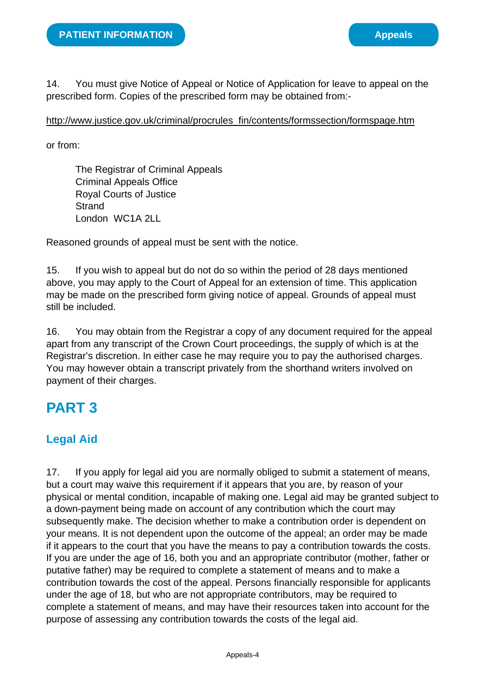14. You must give Notice of Appeal or Notice of Application for leave to appeal on the prescribed form. Copies of the prescribed form may be obtained from:-

#### [http://www.justice.gov.uk/criminal/procrules\\_fin/contents/formssection/formspage.htm](http://www.justice.gov.uk/criminal/procrules_fin/contents/formssection/formspage.htm)

or from:

The Registrar of Criminal Appeals Criminal Appeals Office Royal Courts of Justice **Strand** London WC1A 2LL

Reasoned grounds of appeal must be sent with the notice.

15. If you wish to appeal but do not do so within the period of 28 days mentioned above, you may apply to the Court of Appeal for an extension of time. This application may be made on the prescribed form giving notice of appeal. Grounds of appeal must still be included.

16. You may obtain from the Registrar a copy of any document required for the appeal apart from any transcript of the Crown Court proceedings, the supply of which is at the Registrar's discretion. In either case he may require you to pay the authorised charges. You may however obtain a transcript privately from the shorthand writers involved on payment of their charges.

### **PART 3**

### **Legal Aid**

17. If you apply for legal aid you are normally obliged to submit a statement of means, but a court may waive this requirement if it appears that you are, by reason of your physical or mental condition, incapable of making one. Legal aid may be granted subject to a down-payment being made on account of any contribution which the court may subsequently make. The decision whether to make a contribution order is dependent on your means. It is not dependent upon the outcome of the appeal; an order may be made if it appears to the court that you have the means to pay a contribution towards the costs. If you are under the age of 16, both you and an appropriate contributor (mother, father or putative father) may be required to complete a statement of means and to make a contribution towards the cost of the appeal. Persons financially responsible for applicants under the age of 18, but who are not appropriate contributors, may be required to complete a statement of means, and may have their resources taken into account for the purpose of assessing any contribution towards the costs of the legal aid.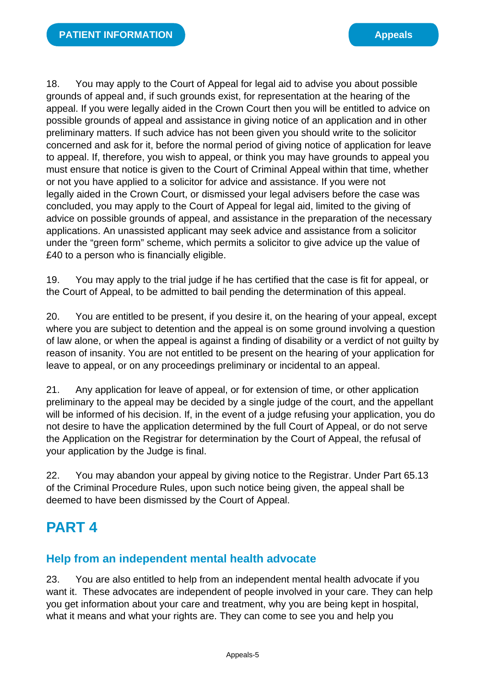18. You may apply to the Court of Appeal for legal aid to advise you about possible grounds of appeal and, if such grounds exist, for representation at the hearing of the appeal. If you were legally aided in the Crown Court then you will be entitled to advice on possible grounds of appeal and assistance in giving notice of an application and in other preliminary matters. If such advice has not been given you should write to the solicitor concerned and ask for it, before the normal period of giving notice of application for leave to appeal. If, therefore, you wish to appeal, or think you may have grounds to appeal you must ensure that notice is given to the Court of Criminal Appeal within that time, whether or not you have applied to a solicitor for advice and assistance. If you were not legally aided in the Crown Court, or dismissed your legal advisers before the case was concluded, you may apply to the Court of Appeal for legal aid, limited to the giving of advice on possible grounds of appeal, and assistance in the preparation of the necessary applications. An unassisted applicant may seek advice and assistance from a solicitor under the "green form" scheme, which permits a solicitor to give advice up the value of £40 to a person who is financially eligible.

19. You may apply to the trial judge if he has certified that the case is fit for appeal, or the Court of Appeal, to be admitted to bail pending the determination of this appeal.

20. You are entitled to be present, if you desire it, on the hearing of your appeal, except where you are subject to detention and the appeal is on some ground involving a question of law alone, or when the appeal is against a finding of disability or a verdict of not guilty by reason of insanity. You are not entitled to be present on the hearing of your application for leave to appeal, or on any proceedings preliminary or incidental to an appeal.

21. Any application for leave of appeal, or for extension of time, or other application preliminary to the appeal may be decided by a single judge of the court, and the appellant will be informed of his decision. If, in the event of a judge refusing your application, you do not desire to have the application determined by the full Court of Appeal, or do not serve the Application on the Registrar for determination by the Court of Appeal, the refusal of your application by the Judge is final.

22. You may abandon your appeal by giving notice to the Registrar. Under Part 65.13 of the Criminal Procedure Rules, upon such notice being given, the appeal shall be deemed to have been dismissed by the Court of Appeal.

# **PART 4**

#### **Help from an independent mental health advocate**

23. You are also entitled to help from an independent mental health advocate if you want it. These advocates are independent of people involved in your care. They can help you get information about your care and treatment, why you are being kept in hospital, what it means and what your rights are. They can come to see you and help you